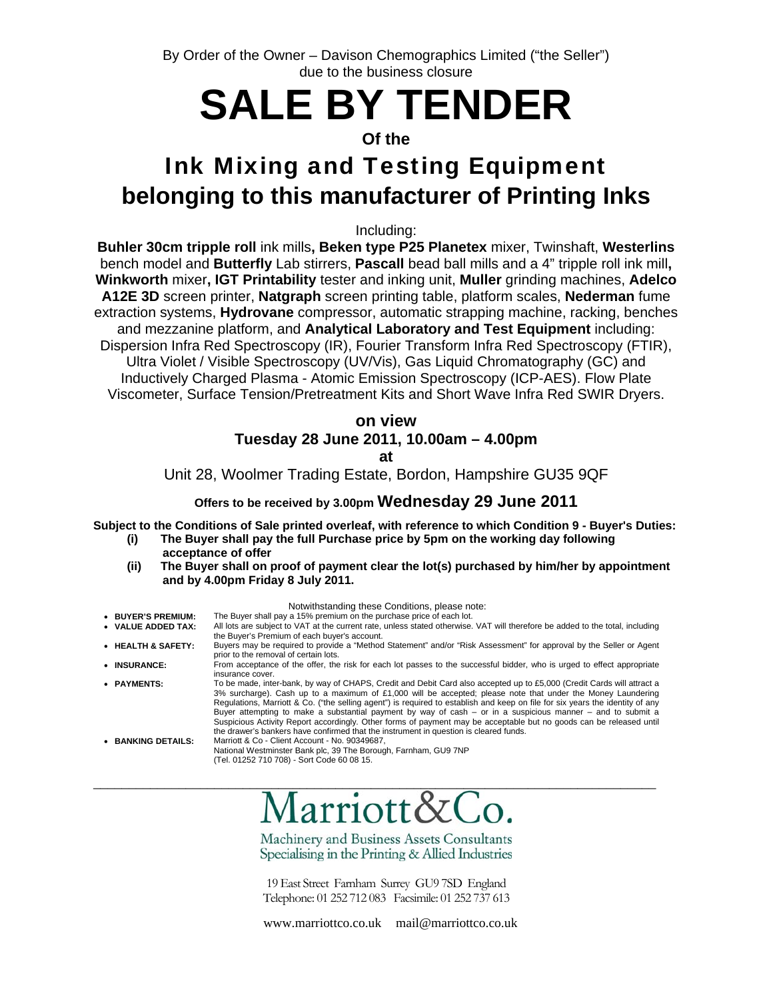By Order of the Owner – Davison Chemographics Limited ("the Seller") due to the business closure

# **SALE BY TENDER**

## **Of the**

## Ink Mixing and Testing Equipment **belonging to this manufacturer of Printing Inks**

Including:

**Buhler 30cm tripple roll** ink mills**, Beken type P25 Planetex** mixer, Twinshaft, **Westerlins** bench model and **Butterfly** Lab stirrers, **Pascall** bead ball mills and a 4" tripple roll ink mill**, Winkworth** mixer**, IGT Printability** tester and inking unit, **Muller** grinding machines, **Adelco A12E 3D** screen printer, **Natgraph** screen printing table, platform scales, **Nederman** fume extraction systems, **Hydrovane** compressor, automatic strapping machine, racking, benches and mezzanine platform, and **Analytical Laboratory and Test Equipment** including: Dispersion Infra Red Spectroscopy (IR), Fourier Transform Infra Red Spectroscopy (FTIR), Ultra Violet / Visible Spectroscopy (UV/Vis), Gas Liquid Chromatography (GC) and Inductively Charged Plasma - Atomic Emission Spectroscopy (ICP-AES). Flow Plate Viscometer, Surface Tension/Pretreatment Kits and Short Wave Infra Red SWIR Dryers.

## **on view Tuesday 28 June 2011, 10.00am – 4.00pm at**

Unit 28, Woolmer Trading Estate, Bordon, Hampshire GU35 9QF

## **Offers to be received by 3.00pm Wednesday 29 June 2011**

**Subject to the Conditions of Sale printed overleaf, with reference to which Condition 9 - Buyer's Duties:** 

- **(i) The Buyer shall pay the full Purchase price by 5pm on the working day following acceptance of offer**
- **(ii) The Buyer shall on proof of payment clear the lot(s) purchased by him/her by appointment and by 4.00pm Friday 8 July 2011.**

|                    | Notwithstanding these Conditions, please note:                                                                                                                                                                                                                                                                                                                                                                                                                                                                                                                                                                                                                                                            |
|--------------------|-----------------------------------------------------------------------------------------------------------------------------------------------------------------------------------------------------------------------------------------------------------------------------------------------------------------------------------------------------------------------------------------------------------------------------------------------------------------------------------------------------------------------------------------------------------------------------------------------------------------------------------------------------------------------------------------------------------|
| • BUYER'S PREMIUM: | The Buyer shall pay a 15% premium on the purchase price of each lot.                                                                                                                                                                                                                                                                                                                                                                                                                                                                                                                                                                                                                                      |
| • VALUE ADDED TAX: | All lots are subject to VAT at the current rate, unless stated otherwise. VAT will therefore be added to the total, including<br>the Buyer's Premium of each buyer's account.                                                                                                                                                                                                                                                                                                                                                                                                                                                                                                                             |
| • HEALTH & SAFETY: | Buyers may be required to provide a "Method Statement" and/or "Risk Assessment" for approval by the Seller or Agent<br>prior to the removal of certain lots.                                                                                                                                                                                                                                                                                                                                                                                                                                                                                                                                              |
| • INSURANCE:       | From acceptance of the offer, the risk for each lot passes to the successful bidder, who is urged to effect appropriate<br>insurance cover.                                                                                                                                                                                                                                                                                                                                                                                                                                                                                                                                                               |
| • PAYMENTS:        | To be made, inter-bank, by way of CHAPS, Credit and Debit Card also accepted up to £5,000 (Credit Cards will attract a<br>3% surcharge). Cash up to a maximum of £1,000 will be accepted; please note that under the Money Laundering<br>Regulations, Marriott & Co. ("the selling agent") is required to establish and keep on file for six years the identity of any<br>Buyer attempting to make a substantial payment by way of cash $-$ or in a suspicious manner $-$ and to submit a<br>Suspicious Activity Report accordingly. Other forms of payment may be acceptable but no goods can be released until<br>the drawer's bankers have confirmed that the instrument in question is cleared funds. |
| • BANKING DETAILS: | Marriott & Co - Client Account - No. 90349687.<br>National Westminster Bank plc, 39 The Borough, Farnham, GU9 7NP<br>(Tel. 01252 710 708) - Sort Code 60 08 15.                                                                                                                                                                                                                                                                                                                                                                                                                                                                                                                                           |

Machinery and Business Assets Consultants

\_\_\_\_\_\_\_\_\_\_\_\_\_\_\_\_\_\_\_\_\_\_\_\_\_\_\_\_\_\_\_\_\_\_\_\_\_\_\_\_\_\_\_\_\_\_\_\_\_\_\_\_\_\_\_\_\_\_\_\_\_\_\_\_\_\_\_\_\_\_\_\_\_\_\_\_\_\_\_

Specialising in the Printing & Allied Industries

19 East Street Farnham Surrey GU9 7SD England Telephone: 01 252 712 083 Facsimile: 01 252 737 613

www.marriottco.co.uk mail@marriottco.co.uk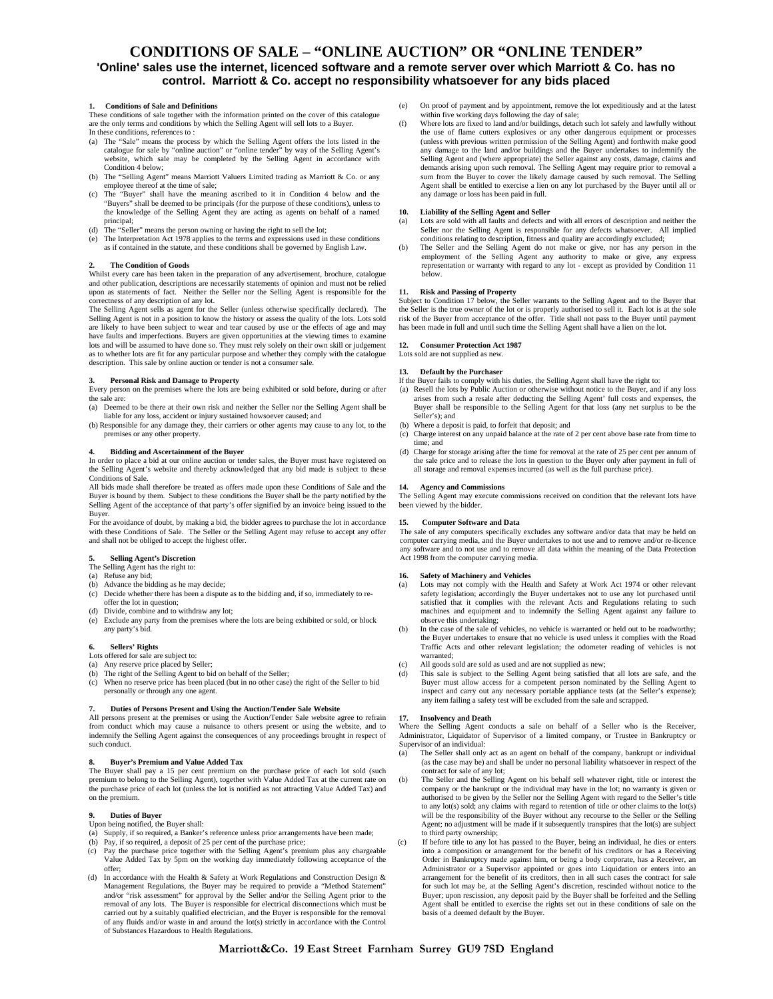#### **CONDITIONS OF SALE – "ONLINE AUCTION" OR "ONLINE TENDER"**

#### **'Online' sales use the internet, licenced software and a remote server over which Marriott & Co. has no control. Marriott & Co. accept no responsibility whatsoever for any bids placed**

#### **1. Conditions of Sale and Definitions**

These conditions of sale together with the information printed on the cover of this catalogue are the only terms and conditions by which the Selling Agent will sell lots to a Buyer. In these conditions, references to :

- (a) The "Sale" means the process by which the Selling Agent offers the lots listed in the catalogue for sale by "online auction" or "online tender" by way of the Selling Agent's website, which sale may be completed by the Selling Agent in accordance with Condition 4 below;
- (b) The "Selling Agent" means Marriott Valuers Limited trading as Marriott & Co. or any employee thereof at the time of sale; (c) The "Buyer" shall have the meaning ascribed to it in Condition 4 below and the
- "Buyers" shall be deemed to be principals (for the purpose of these conditions), unless to the knowledge of the Selling Agent they are acting as agents on behalf of a named principal;
- The "Seller" means the person owning or having the right to sell the lot;
- (e) The Interpretation Act 1978 applies to the terms and expressions used in these conditions as if contained in the statute, and these conditions shall be governed by English Law.

#### **2. The Condition of Goods**

Whilst every care has been taken in the preparation of any advertisement, brochure, catalogue and other publication, descriptions are necessarily statements of opinion and must not be relied upon as statements of fact. Neither the Seller nor the Selling Agent is responsible for the correctness of any description of any lot.

The Selling Agent sells as agent for the Seller (unless otherwise specifically declared). The Selling Agent is not in a position to know the history or assess the quality of the lots. Lots sold are likely to have been subject to wear and tear caused by use or the effects of age and may have faults and imperfections. Buyers are given opportunities at the viewing times to examine lots and will be assumed to have done so. They must rely solely on their own skill or judgement as to whether lots are fit for any particular purpose and whether they comply with the catalogue description. This sale by online auction or tender is not a consumer sale.

#### **3. Personal Risk and Damage to Property**

Every person on the premises where the lots are being exhibited or sold before, during or after the sale are:

(a) Deemed to be there at their own risk and neither the Seller nor the Selling Agent shall be liable for any loss, accident or injury sustained howsoever caused; and

(b) Responsible for any damage they, their carriers or other agents may cause to any lot, to the premises or any other property.

#### **4. Bidding and Ascertainment of the Buyer**

In order to place a bid at our online auction or tender sales, the Buyer must have registered on the Selling Agent's website and thereby acknowledged that any bid made is subject to these Conditions of Sale.

All bids made shall therefore be treated as offers made upon these Conditions of Sale and the Buyer is bound by them. Subject to these conditions the Buyer shall be the party notified by the Selling Agent of the acceptance of that party's offer signified by an invoice being issued to the Buyer.

For the avoidance of doubt, by making a bid, the bidder agrees to purchase the lot in accordance with these Conditions of Sale. The Seller or the Selling Agent may refuse to accept any offer and shall not be obliged to accept the highest offer.

#### **5. Selling Agent's Discretion**

The Selling Agent has the right to:

- (a) Refuse any bid;
- (b) Advance the bidding as he may decide;
- (c) Decide whether there has been a dispute as to the bidding and, if so, immediately to reoffer the lot in question;
- 
- (d) Divide, combine and to withdraw any lot; (e) Exclude any party from the premises where the lots are being exhibited or sold, or block any party's bid.

#### **6. Sellers' Rights**

- Lots offered for sale are subject to:
- (a) Any reserve price placed by Seller; (b) The right of the Selling Agent to bid on behalf of the Seller;
- When no reserve price has been placed (but in no other case) the right of the Seller to bid personally or through any one agent.

#### **7. Duties of Persons Present and Using the Auction/Tender Sale Website**

All persons present at the premises or using the Auction/Tender Sale website agree to refrain from conduct which may cause a nuisance to others present or using the website, and to indemnify the Selling Agent against the consequences of any proceedings brought in respect of such conduct.

#### **8. Buyer's Premium and Value Added Tax**

The Buyer shall pay a 15 per cent premium on the purchase price of each lot sold (such premium to belong to the Selling Agent), together with Value Added Tax at the current rate on the purchase price of each lot (unless the lot is notified as not attracting Value Added Tax) and on the premium.

#### **9. Duties of Buyer**

Upon being notified, the Buyer shall:

- (a) Supply, if so required, a Banker's reference unless prior arrangements have been made;
- (b) Pay, if so required, a deposit of 25 per cent of the purchase price;<br>(c) Pay the purchase price together with the Selling Agent's premi
- Pay the purchase price together with the Selling Agent's premium plus any chargeable Value Added Tax by 5pm on the working day immediately following acceptance of the offer;
- (d) In accordance with the Health & Safety at Work Regulations and Construction Design & Management Regulations, the Buyer may be required to provide a "Method Statement" and/or "risk assessment" for approval by the Seller and/or the Selling Agent prior to the removal of any lots. The Buyer is responsible for electrical disconnections which must be carried out by a suitably qualified electrician, and the Buyer is responsible for the removal of any fluids and/or waste in and around the lot(s) strictly in accordance with the Control of Substances Hazardous to Health Regulations.
- (e) On proof of payment and by appointment, remove the lot expeditiously and at the latest within five working days following the day of sale;<br>
(f) Where lots are fixed to land and/or buildings, detach such lot safely and lawfully without
- the use of flame cutters explosives or any other dangerous equipment or processes (unless with previous written permission of the Selling Agent) and forthwith make good any damage to the land and/or buildings and the Buyer undertakes to indemnify the Selling Agent and (where appropriate) the Seller against any costs, damage, claims and demands arising upon such removal. The Selling Agent may require prior to removal a sum from the Buyer to cover the likely damage caused by such removal. The Selling Agent shall be entitled to exercise a lien on any lot purchased by the Buyer until all or any damage or loss has been paid in full.

#### **10. Liability of the Selling Agent and Seller**

- (a) Lots are sold with all faults and defects and with all errors of description and neither the Seller nor the Selling Agent is responsible for any defects whatsoever. All implied conditions relating to description, fitness and quality are accordingly excluded;
- (b) The Seller and the Selling Agent do not make or give, nor has any person in the employment of the Selling Agent any authority to make or give, any express representation or warranty with regard to any lot - except as provided by Condition 11 below.

**11. Risk and Passing of Property** Subject to Condition 17 below, the Seller warrants to the Selling Agent and to the Buyer that the Seller is the true owner of the lot or is properly authorised to sell it. Each lot is at the sole risk of the Buyer from acceptance of the offer. Title shall not pass to the Buyer until payment has been made in full and until such time the Selling Agent shall have a lien on the lot.

#### **12. Consumer Protection Act 1987**

Lots sold are not supplied as new

#### **13. Default by the Purchaser**

- If the Buyer fails to comply with his duties, the Selling Agent shall have the right to:
- (a) Resell the lots by Public Auction or otherwise without notice to the Buyer, and if any loss arises from such a resale after deducting the Selling Agent' full costs and expense Buyer shall be responsible to the Selling Agent for that loss (any net surplus to be the Seller's); and
- (b) Where a deposit is paid, to forfeit that deposit; and
- (c) Charge interest on any unpaid balance at the rate of 2 per cent above base rate from time to time; and
- (d) Charge for storage arising after the time for removal at the rate of 25 per cent per annum of the sale price and to release the lots in question to the Buyer only after payment in full of all storage and removal expenses incurred (as well as the full purchase price).

#### **14. Agency and Commissions**

The Selling Agent may execute commissions received on condition that the relevant lots have been viewed by the bidder.

#### **15. Computer Software and Data**

The sale of any computers specifically excludes any software and/or data that may be held on computer carrying media, and the Buyer undertakes to not use and to remove and/or re-licence any software and to not use and to remove all data within the meaning of the Data Protection Act 1998 from the computer carrying media.

#### **16. Safety of Machinery and Vehicles**

- (a) Lots may not comply with the Health and Safety at Work Act 1974 or other relevant safety legislation; accordingly the Buyer undertakes not to use any lot purchased until satisfied that it complies with the relevant Acts and Regulations relating to such machines and equipment and to indemnify the Selling Agent against any failure to observe this undertaking;
- In the case of the sale of vehicles, no vehicle is warranted or held out to be roadworthy; the Buyer undertakes to ensure that no vehicle is used unless it complies with the Road Traffic Acts and other relevant legislation; the odometer reading of vehicles is not warranted;
- (c) All goods sold are sold as used and are not supplied as new;
- (d) This sale is subject to the Selling Agent being satisfied that all lots are safe, and the Buyer must allow access for a competent person nominated by the Selling Agent to inspect and carry out any necessary portable ap any item failing a safety test will be excluded from the sale and scrapped.

#### **17. Insolvency and Death**

Where the Selling Agent conducts a sale on behalf of a Seller who is the Receiver, Administrator, Liquidator of Supervisor of a limited company, or Trustee in Bankruptcy or Supervisor of an individual:

- (a) The Seller shall only act as an agent on behalf of the company, bankrupt or individual (as the case may be) and shall be under no personal liability whatsoever in respect of the contract for sale of any lot;
- (b) The Seller and the Selling Agent on his behalf sell whatever right, title or interest the company or the bankrupt or the individual may have in the lot; no warranty is given or authorised to be given by the Seller nor the Selling Agent with regard to the Seller's title to any lot(s) sold; any claims with regard to retention of title or other claims to the lot(s) will be the responsibility of the Buyer without any recourse to the Seller or the Selling Agent; no adjustment will be made if it subsequently transpires that the lot(s) are subject to third party ownership;
- If before title to any lot has passed to the Buyer, being an individual, he dies or enters into a composition or arrangement for the benefit of his creditors or has a Receiving Order in Bankruptcy made against him, or being a body corporate, has a Receiver, an Administrator or a Supervisor appointed or goes into Liquidation or enters into an arrangement for the benefit of its creditors, then in all such cases the contract for sale for such lot may be, at the Selling Agent's discretion, rescinded without notice to the Buyer; upon rescission, any deposit paid by the Buyer shall be forfeited and the Selling Agent shall be entitled to exercise the rights set out in these conditions of sale on the basis of a deemed default by the Buyer.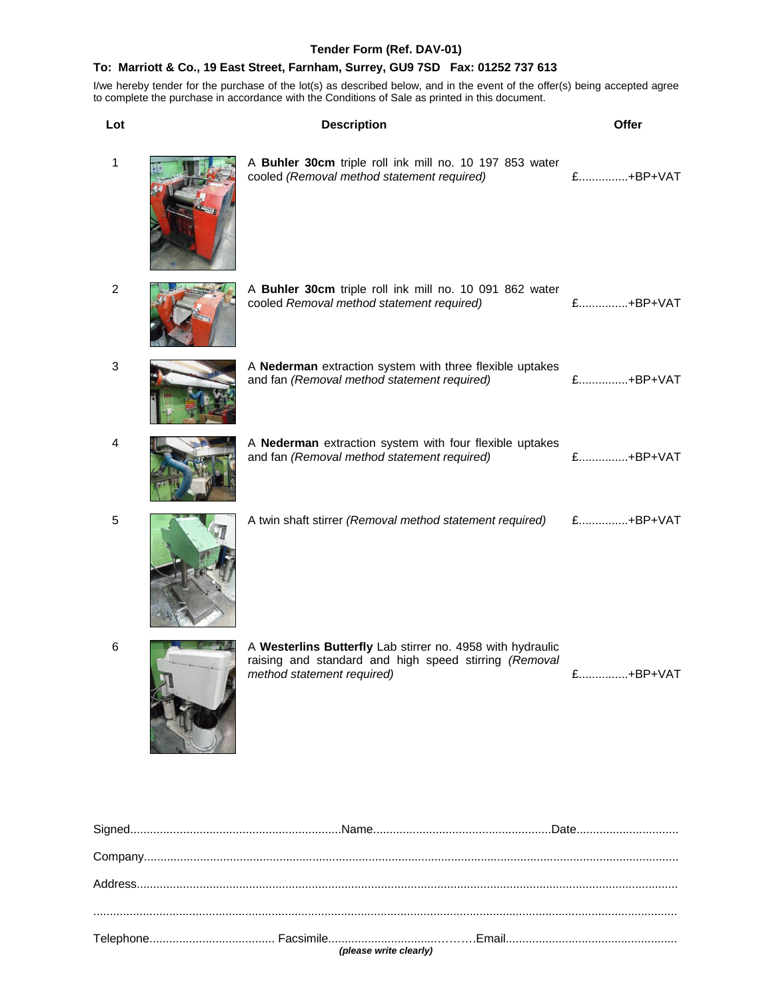## **Tender Form (Ref. DAV-01)**

## **To: Marriott & Co., 19 East Street, Farnham, Surrey, GU9 7SD Fax: 01252 737 613**

| Lot            | <b>Description</b>                                                                                                                                | Offer    |
|----------------|---------------------------------------------------------------------------------------------------------------------------------------------------|----------|
| $\mathbf{1}$   | A Buhler 30cm triple roll ink mill no. 10 197 853 water<br>cooled (Removal method statement required)                                             | £+BP+VAT |
| $\overline{c}$ | A Buhler 30cm triple roll ink mill no. 10 091 862 water<br>cooled Removal method statement required)                                              | £+BP+VAT |
| 3              | A Nederman extraction system with three flexible uptakes<br>and fan (Removal method statement required)                                           | £+BP+VAT |
| 4              | A Nederman extraction system with four flexible uptakes<br>and fan (Removal method statement required)                                            | £+BP+VAT |
| 5              | A twin shaft stirrer (Removal method statement required)                                                                                          | £+BP+VAT |
| 6              | A Westerlins Butterfly Lab stirrer no. 4958 with hydraulic<br>raising and standard and high speed stirring (Removal<br>method statement required) | £+BP+VAT |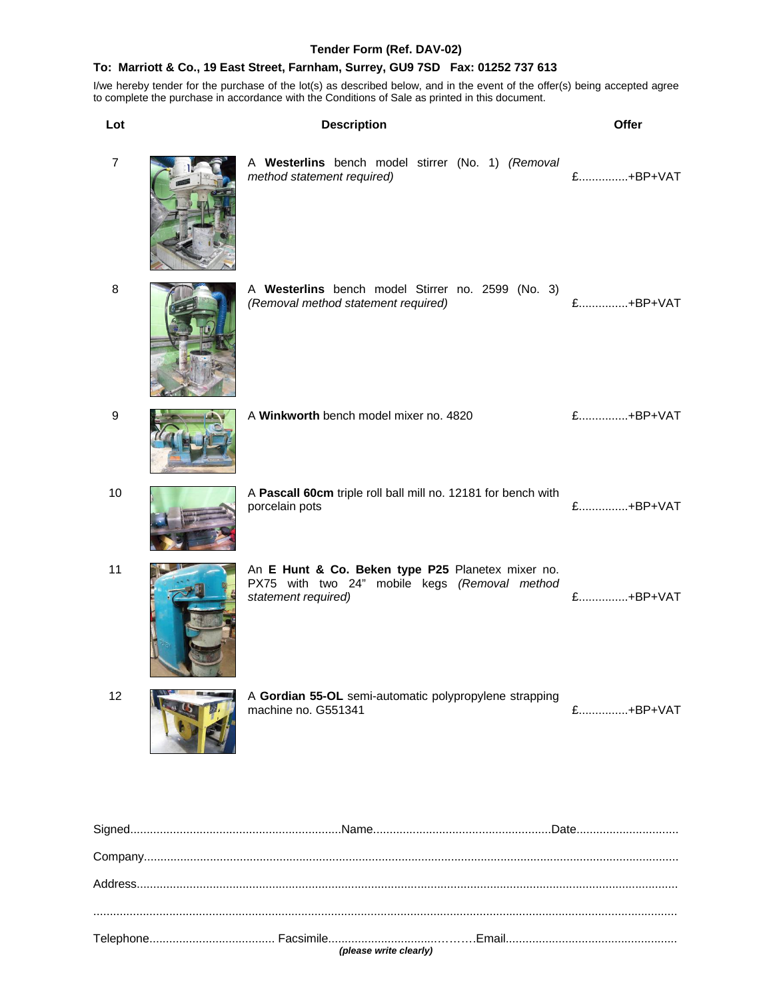## **Tender Form (Ref. DAV-02)**

## **To: Marriott & Co., 19 East Street, Farnham, Surrey, GU9 7SD Fax: 01252 737 613**

| Lot              | <b>Description</b>                                                                                                        | Offer    |
|------------------|---------------------------------------------------------------------------------------------------------------------------|----------|
| $\overline{7}$   | A Westerlins bench model stirrer (No. 1) (Removal<br>method statement required)                                           | £+BP+VAT |
| 8                | A Westerlins bench model Stirrer no. 2599 (No. 3)<br>(Removal method statement required)                                  | £+BP+VAT |
| $\boldsymbol{9}$ | A Winkworth bench model mixer no. 4820                                                                                    | £+BP+VAT |
| 10               | A Pascall 60cm triple roll ball mill no. 12181 for bench with<br>porcelain pots                                           | £+BP+VAT |
| 11               | An E Hunt & Co. Beken type P25 Planetex mixer no.<br>PX75 with two 24" mobile kegs (Removal method<br>statement required) | £+BP+VAT |
| 12               | A Gordian 55-OL semi-automatic polypropylene strapping<br>machine no. G551341                                             | £+BP+VAT |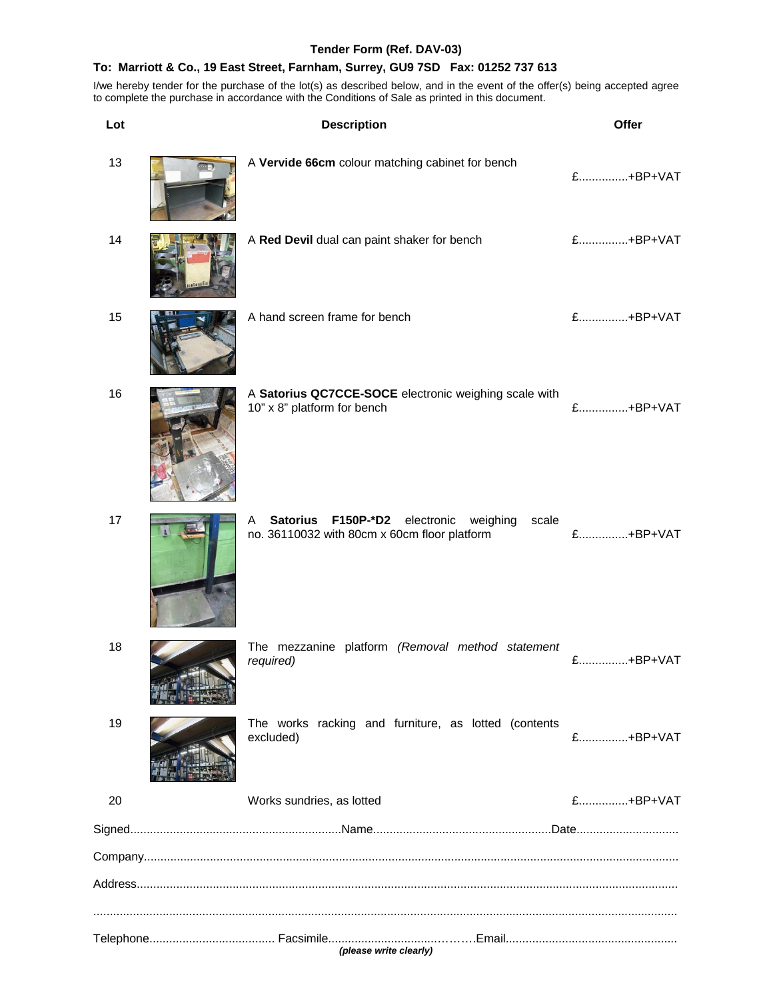## **Tender Form (Ref. DAV-03)**

#### **To: Marriott & Co., 19 East Street, Farnham, Surrey, GU9 7SD Fax: 01252 737 613**

| Lot | <b>Description</b>                                                                                   | Offer    |
|-----|------------------------------------------------------------------------------------------------------|----------|
| 13  | A Vervide 66cm colour matching cabinet for bench                                                     | £+BP+VAT |
| 14  | A Red Devil dual can paint shaker for bench                                                          | £+BP+VAT |
| 15  | A hand screen frame for bench                                                                        | £+BP+VAT |
| 16  | A Satorius QC7CCE-SOCE electronic weighing scale with<br>10" x 8" platform for bench                 | £+BP+VAT |
| 17  | Satorius F150P-*D2 electronic weighing<br>scale<br>A<br>no. 36110032 with 80cm x 60cm floor platform | £+BP+VAT |
| 18  | The mezzanine platform (Removal method statement<br>required)                                        | £+BP+VAT |
| 19  | The works racking and furniture, as lotted (contents<br>excluded)                                    | £+BP+VAT |
| 20  | Works sundries, as lotted                                                                            | £+BP+VAT |
|     |                                                                                                      |          |
|     |                                                                                                      |          |
|     | (please write clearly)                                                                               |          |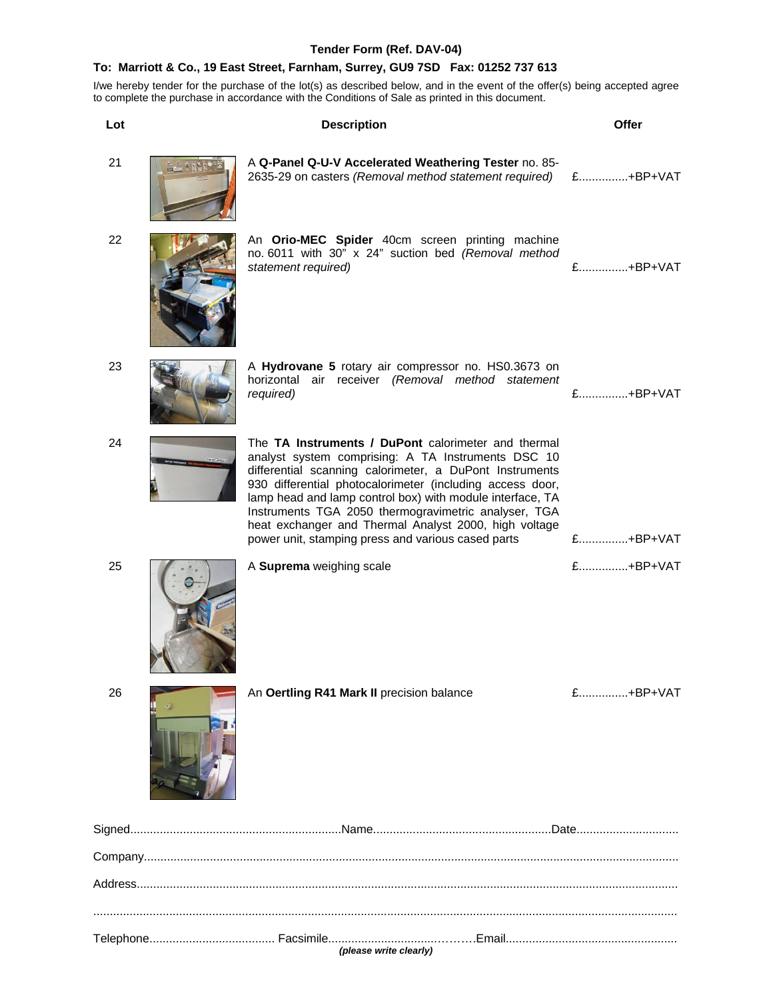## **Tender Form (Ref. DAV-04)**

## **To: Marriott & Co., 19 East Street, Farnham, Surrey, GU9 7SD Fax: 01252 737 613**

I/we hereby tender for the purchase of the lot(s) as described below, and in the event of the offer(s) being accepted agree to complete the purchase in accordance with the Conditions of Sale as printed in this document.

| Lot | <b>Description</b>                                                                                                                                                                                                                                                                                                                                                                                                                                                    | Offer    |
|-----|-----------------------------------------------------------------------------------------------------------------------------------------------------------------------------------------------------------------------------------------------------------------------------------------------------------------------------------------------------------------------------------------------------------------------------------------------------------------------|----------|
| 21  | A Q-Panel Q-U-V Accelerated Weathering Tester no. 85-<br>2635-29 on casters (Removal method statement required)                                                                                                                                                                                                                                                                                                                                                       | £+BP+VAT |
| 22  | An Orio-MEC Spider 40cm screen printing machine<br>no. 6011 with 30" x 24" suction bed (Removal method<br>statement required)                                                                                                                                                                                                                                                                                                                                         | £+BP+VAT |
| 23  | A Hydrovane 5 rotary air compressor no. HS0.3673 on<br>horizontal air receiver (Removal method statement<br>required)                                                                                                                                                                                                                                                                                                                                                 | £+BP+VAT |
| 24  | The TA Instruments / DuPont calorimeter and thermal<br>analyst system comprising: A TA Instruments DSC 10<br>differential scanning calorimeter, a DuPont Instruments<br>930 differential photocalorimeter (including access door,<br>lamp head and lamp control box) with module interface, TA<br>Instruments TGA 2050 thermogravimetric analyser, TGA<br>heat exchanger and Thermal Analyst 2000, high voltage<br>power unit, stamping press and various cased parts | £+BP+VAT |
| 25  | A Suprema weighing scale                                                                                                                                                                                                                                                                                                                                                                                                                                              | £+BP+VAT |
| 26  | An Oertling R41 Mark II precision balance                                                                                                                                                                                                                                                                                                                                                                                                                             | £+BP+VAT |
|     |                                                                                                                                                                                                                                                                                                                                                                                                                                                                       |          |
|     |                                                                                                                                                                                                                                                                                                                                                                                                                                                                       |          |
|     |                                                                                                                                                                                                                                                                                                                                                                                                                                                                       |          |
|     |                                                                                                                                                                                                                                                                                                                                                                                                                                                                       |          |

*(please write clearly)*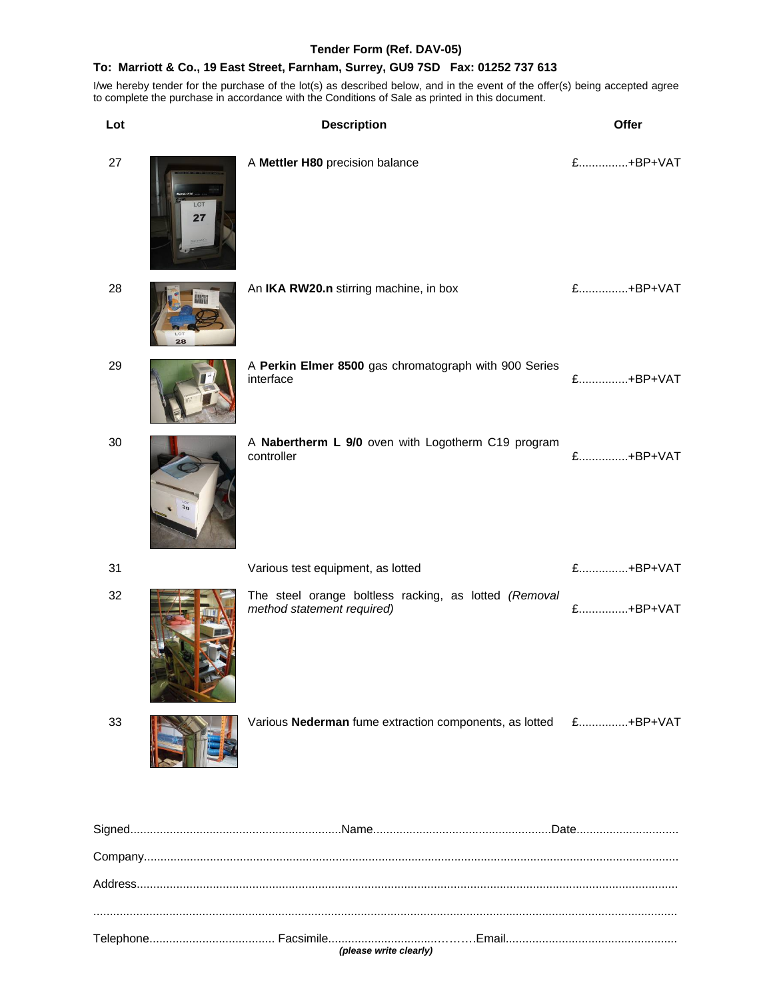#### **Tender Form (Ref. DAV-05)**

#### **To: Marriott & Co., 19 East Street, Farnham, Surrey, GU9 7SD Fax: 01252 737 613**

I/we hereby tender for the purchase of the lot(s) as described below, and in the event of the offer(s) being accepted agree to complete the purchase in accordance with the Conditions of Sale as printed in this document.

| Lot |                       | <b>Description</b>                                                                  | Offer    |
|-----|-----------------------|-------------------------------------------------------------------------------------|----------|
| 27  | LO <sub>1</sub><br>27 | A Mettler H80 precision balance                                                     | £+BP+VAT |
| 28  | 28                    | An IKA RW20.n stirring machine, in box                                              | £+BP+VAT |
| 29  |                       | A Perkin Elmer 8500 gas chromatograph with 900 Series<br>interface                  | £+BP+VAT |
| 30  | $\frac{1}{2}$         | A Nabertherm L 9/0 oven with Logotherm C19 program<br>controller                    | £+BP+VAT |
| 31  |                       | Various test equipment, as lotted                                                   | £+BP+VAT |
| 32  |                       | The steel orange boltless racking, as lotted (Removal<br>method statement required) | £+BP+VAT |
| 33  |                       | Various Nederman fume extraction components, as lotted                              | £+BP+VAT |
|     |                       |                                                                                     |          |
|     |                       |                                                                                     |          |

Address.................................................................................................................................................................... .................................................................................................................................................................................

Telephone...................................... Facsimile.................................……….Email....................................................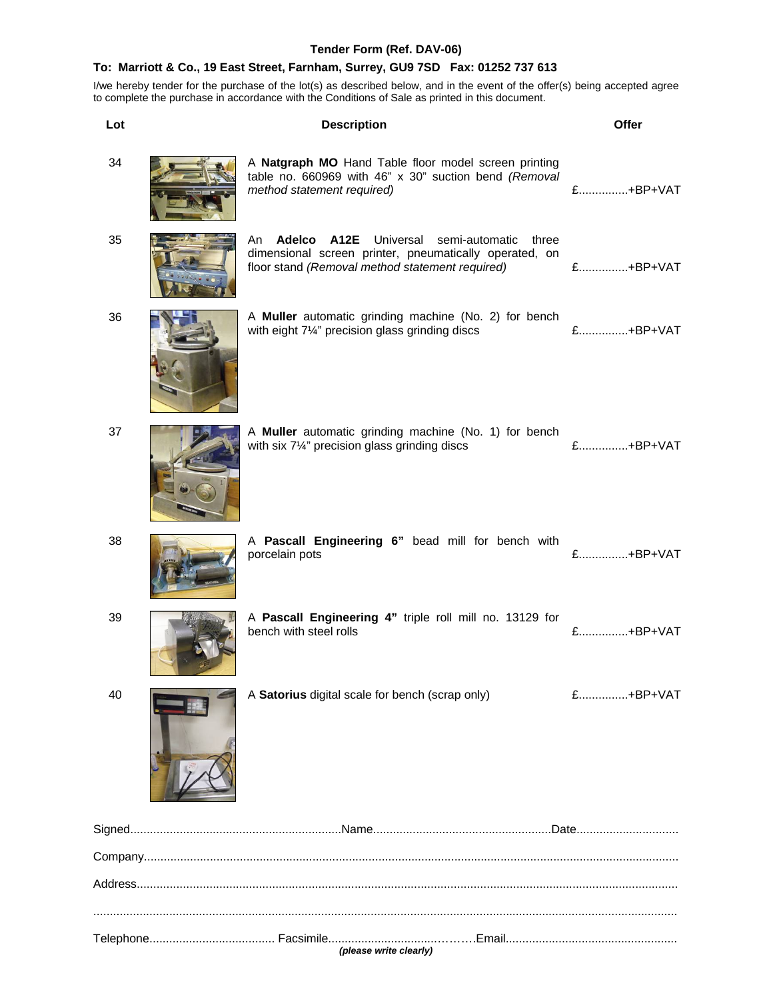## **Tender Form (Ref. DAV-06)**

#### **To: Marriott & Co., 19 East Street, Farnham, Surrey, GU9 7SD Fax: 01252 737 613**

| Lot | <b>Description</b>                                                                                                                                                | Offer    |
|-----|-------------------------------------------------------------------------------------------------------------------------------------------------------------------|----------|
| 34  | A Natgraph MO Hand Table floor model screen printing<br>table no. 660969 with 46" x 30" suction bend (Removal<br>method statement required)                       | £+BP+VAT |
| 35  | An <b>Adelco A12E</b> Universal semi-automatic three<br>dimensional screen printer, pneumatically operated, on<br>floor stand (Removal method statement required) | £+BP+VAT |
| 36  | A Muller automatic grinding machine (No. 2) for bench<br>with eight 71/4" precision glass grinding discs                                                          | £+BP+VAT |
| 37  | A Muller automatic grinding machine (No. 1) for bench<br>with six $7\frac{1}{4}$ " precision glass grinding discs                                                 | £+BP+VAT |
| 38  | A Pascall Engineering 6" bead mill for bench with<br>porcelain pots                                                                                               | £+BP+VAT |
| 39  | A Pascall Engineering 4" triple roll mill no. 13129 for<br>bench with steel rolls                                                                                 | £+BP+VAT |
| 40  | A Satorius digital scale for bench (scrap only)                                                                                                                   | £+BP+VAT |
|     |                                                                                                                                                                   |          |
|     |                                                                                                                                                                   |          |
|     |                                                                                                                                                                   |          |
|     |                                                                                                                                                                   |          |
|     | (please write clearly)                                                                                                                                            |          |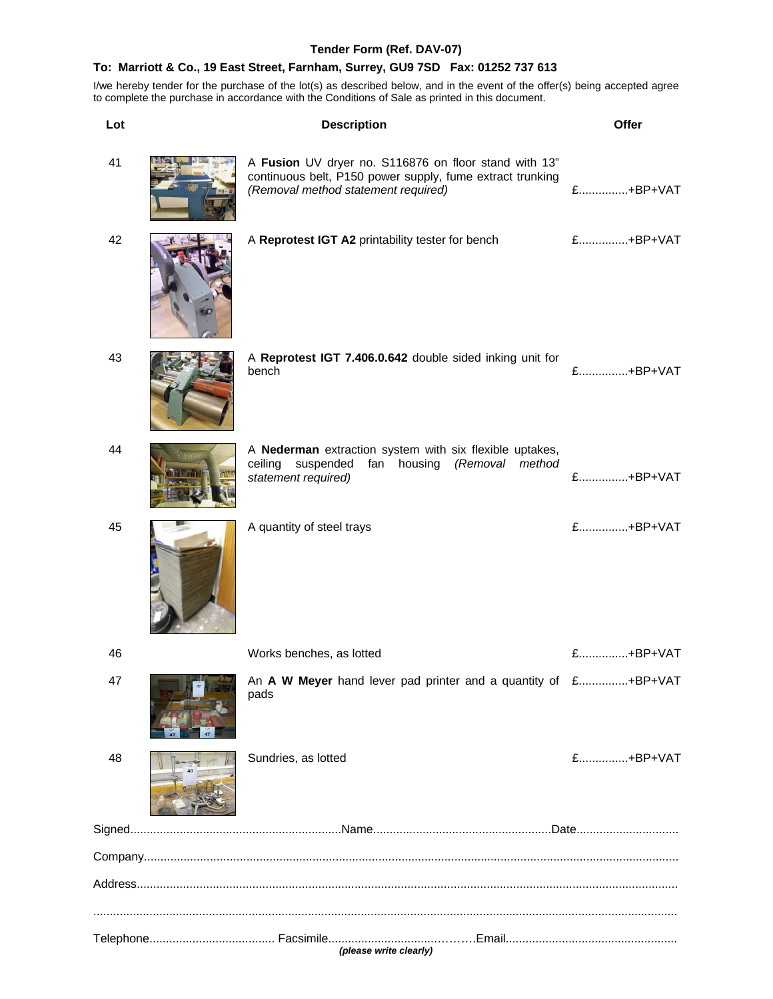## **Tender Form (Ref. DAV-07)**

## **To: Marriott & Co., 19 East Street, Farnham, Surrey, GU9 7SD Fax: 01252 737 613**

| Lot | <b>Description</b>                                                                                                                                        | Offer    |
|-----|-----------------------------------------------------------------------------------------------------------------------------------------------------------|----------|
| 41  | A Fusion UV dryer no. S116876 on floor stand with 13"<br>continuous belt, P150 power supply, fume extract trunking<br>(Removal method statement required) | £+BP+VAT |
| 42  | A Reprotest IGT A2 printability tester for bench                                                                                                          | £+BP+VAT |
| 43  | A Reprotest IGT 7.406.0.642 double sided inking unit for<br>bench                                                                                         | £+BP+VAT |
| 44  | A Nederman extraction system with six flexible uptakes,<br>fan housing (Removal<br>ceiling<br>suspended<br>method<br>statement required)                  | £+BP+VAT |
| 45  | A quantity of steel trays                                                                                                                                 | £+BP+VAT |
| 46  | Works benches, as lotted                                                                                                                                  | £+BP+VAT |
| 47  | An A W Meyer hand lever pad printer and a quantity of £+BP+VAT<br>pads                                                                                    |          |
| 48  | Sundries, as lotted                                                                                                                                       | £+BP+VAT |
|     |                                                                                                                                                           |          |
|     |                                                                                                                                                           |          |
|     |                                                                                                                                                           |          |
|     | (please write clearly)                                                                                                                                    |          |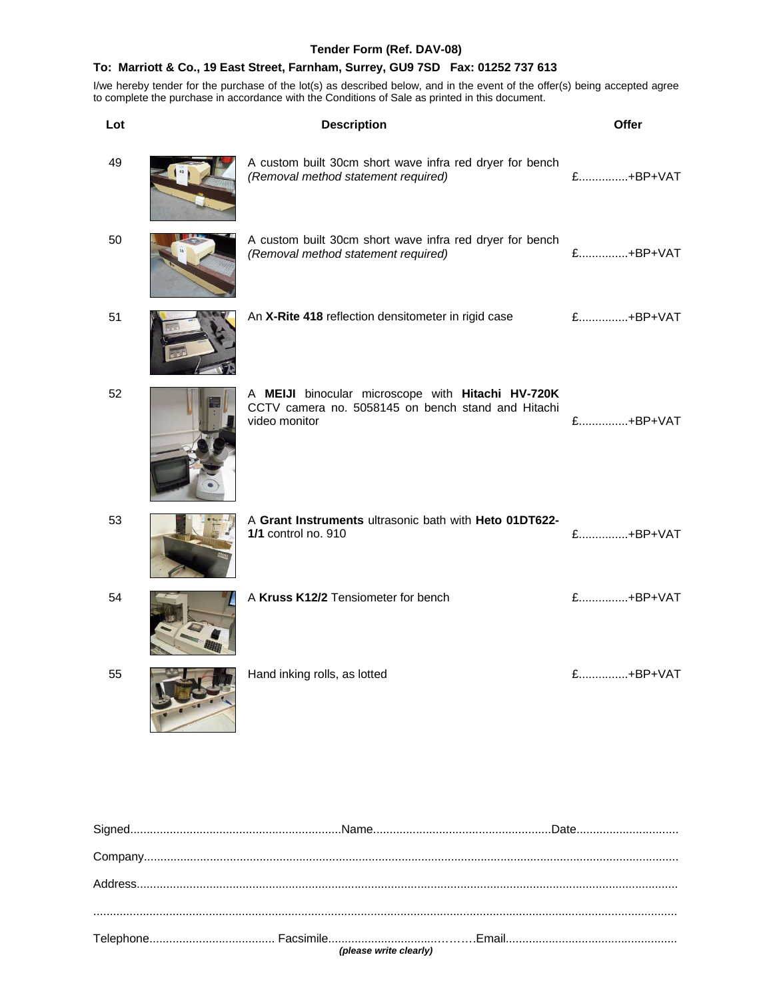## **Tender Form (Ref. DAV-08)**

## **To: Marriott & Co., 19 East Street, Farnham, Surrey, GU9 7SD Fax: 01252 737 613**

| Lot | <b>Description</b>                                                                                                       | Offer    |
|-----|--------------------------------------------------------------------------------------------------------------------------|----------|
| 49  | A custom built 30cm short wave infra red dryer for bench<br>(Removal method statement required)                          | £+BP+VAT |
| 50  | A custom built 30cm short wave infra red dryer for bench<br>(Removal method statement required)                          | £+BP+VAT |
| 51  | An X-Rite 418 reflection densitometer in rigid case                                                                      | £+BP+VAT |
| 52  | A MEIJI binocular microscope with Hitachi HV-720K<br>CCTV camera no. 5058145 on bench stand and Hitachi<br>video monitor | £+BP+VAT |
| 53  | A Grant Instruments ultrasonic bath with Heto 01DT622-<br>1/1 control no. 910                                            | £+BP+VAT |
| 54  | A Kruss K12/2 Tensiometer for bench                                                                                      | £+BP+VAT |
| 55  | Hand inking rolls, as lotted                                                                                             | £+BP+VAT |

| (please write clearly) |  |
|------------------------|--|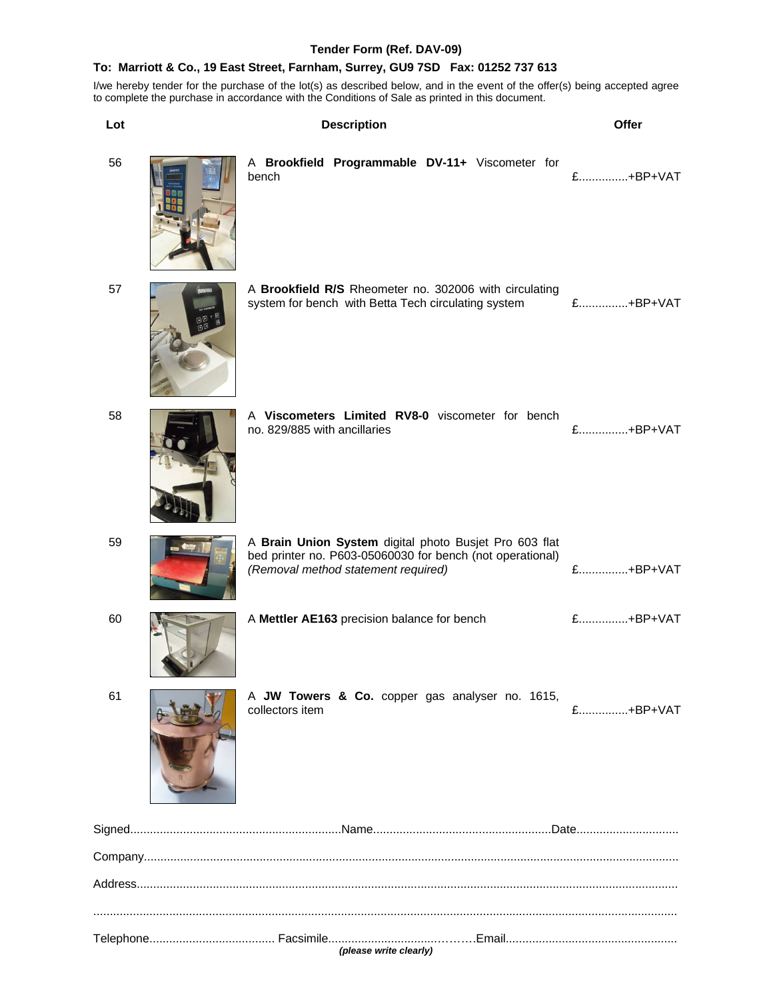## **Tender Form (Ref. DAV-09)**

## **To: Marriott & Co., 19 East Street, Farnham, Surrey, GU9 7SD Fax: 01252 737 613**

| Lot | <b>Description</b>                                                                                                                                         | Offer    |
|-----|------------------------------------------------------------------------------------------------------------------------------------------------------------|----------|
| 56  | A Brookfield Programmable DV-11+ Viscometer for<br>bench                                                                                                   | £+BP+VAT |
| 57  | A Brookfield R/S Rheometer no. 302006 with circulating<br>system for bench with Betta Tech circulating system                                              | £+BP+VAT |
| 58  | A Viscometers Limited RV8-0 viscometer for bench<br>no. 829/885 with ancillaries                                                                           | £+BP+VAT |
| 59  | A Brain Union System digital photo Busjet Pro 603 flat<br>bed printer no. P603-05060030 for bench (not operational)<br>(Removal method statement required) | £+BP+VAT |
| 60  | A Mettler AE163 precision balance for bench                                                                                                                | £+BP+VAT |
| 61  | A JW Towers & Co. copper gas analyser no. 1615,<br>collectors item                                                                                         | £+BP+VAT |
|     |                                                                                                                                                            |          |
|     |                                                                                                                                                            |          |
|     |                                                                                                                                                            |          |
|     |                                                                                                                                                            |          |
|     | (please write clearly)                                                                                                                                     |          |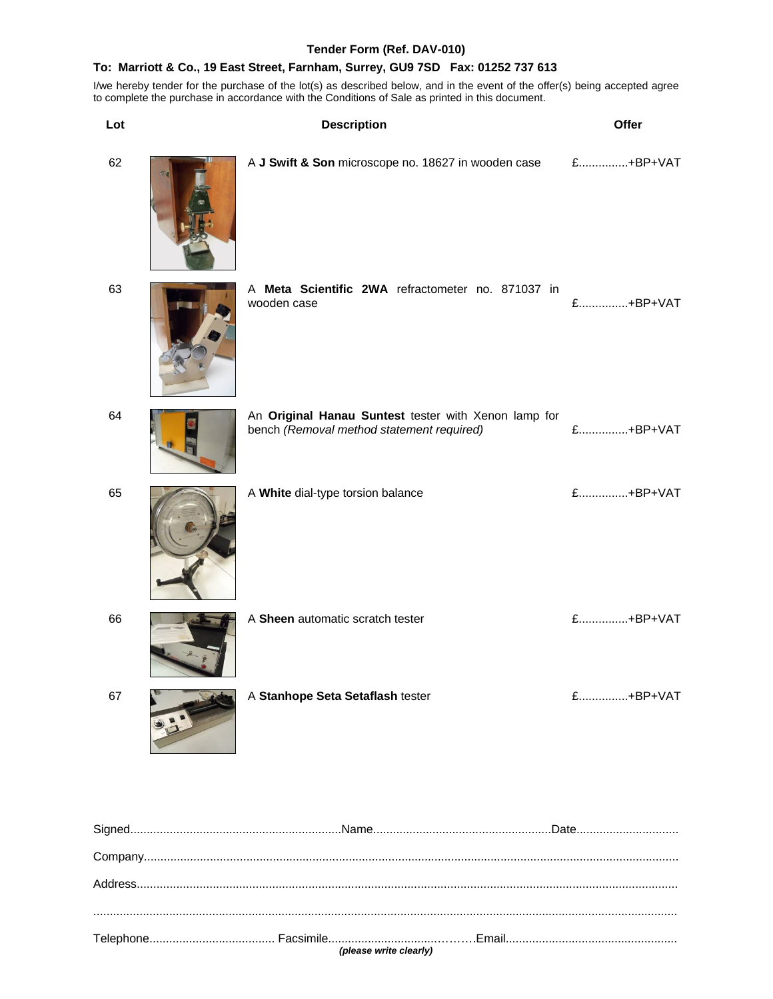#### **Tender Form (Ref. DAV-010)**

#### **To: Marriott & Co., 19 East Street, Farnham, Surrey, GU9 7SD Fax: 01252 737 613**

I/we hereby tender for the purchase of the lot(s) as described below, and in the event of the offer(s) being accepted agree to complete the purchase in accordance with the Conditions of Sale as printed in this document.

| Lot | <b>Description</b>                                                                                | Offer    |
|-----|---------------------------------------------------------------------------------------------------|----------|
| 62  | A J Swift & Son microscope no. 18627 in wooden case                                               | £+BP+VAT |
| 63  | A Meta Scientific 2WA refractometer no. 871037 in<br>wooden case                                  | £+BP+VAT |
| 64  | An Original Hanau Suntest tester with Xenon lamp for<br>bench (Removal method statement required) | £+BP+VAT |
| 65  | A White dial-type torsion balance                                                                 | £+BP+VAT |
| 66  | A Sheen automatic scratch tester                                                                  | £+BP+VAT |
| 67  | A Stanhope Seta Setaflash tester                                                                  | £+BP+VAT |
|     |                                                                                                   |          |
|     |                                                                                                   |          |
|     |                                                                                                   |          |

................................................................................................................................................................................. Telephone...................................... Facsimile.................................……….Email....................................................

*(please write clearly)*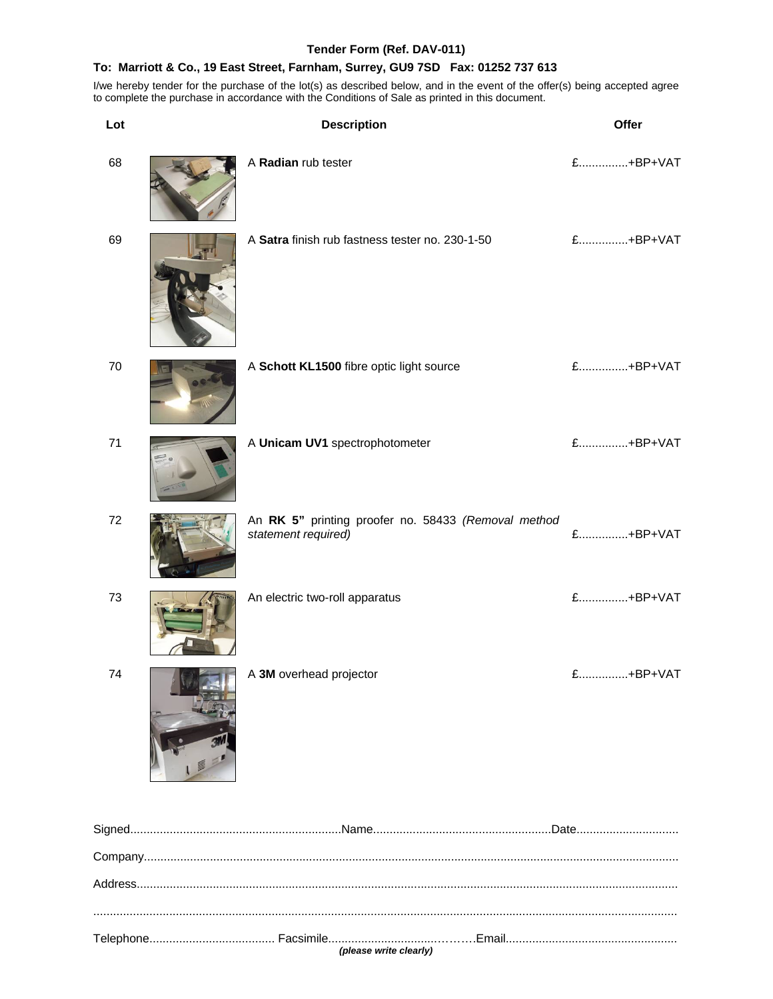#### **Tender Form (Ref. DAV-011)**

#### **To: Marriott & Co., 19 East Street, Farnham, Surrey, GU9 7SD Fax: 01252 737 613**

I/we hereby tender for the purchase of the lot(s) as described below, and in the event of the offer(s) being accepted agree to complete the purchase in accordance with the Conditions of Sale as printed in this document.

| Lot | <b>Description</b>                                                         | Offer    |
|-----|----------------------------------------------------------------------------|----------|
| 68  | A Radian rub tester                                                        | £+BP+VAT |
| 69  | A Satra finish rub fastness tester no. 230-1-50                            | £+BP+VAT |
| 70  | A Schott KL1500 fibre optic light source                                   | £+BP+VAT |
| 71  | A Unicam UV1 spectrophotometer                                             | £+BP+VAT |
| 72  | An RK 5" printing proofer no. 58433 (Removal method<br>statement required) | £+BP+VAT |
| 73  | An electric two-roll apparatus                                             | £+BP+VAT |
| 74  | A 3M overhead projector                                                    | £+BP+VAT |
|     |                                                                            |          |
|     |                                                                            |          |
|     |                                                                            |          |
|     |                                                                            |          |

Telephone...................................... Facsimile.................................……….Email.................................................... *(please write clearly)*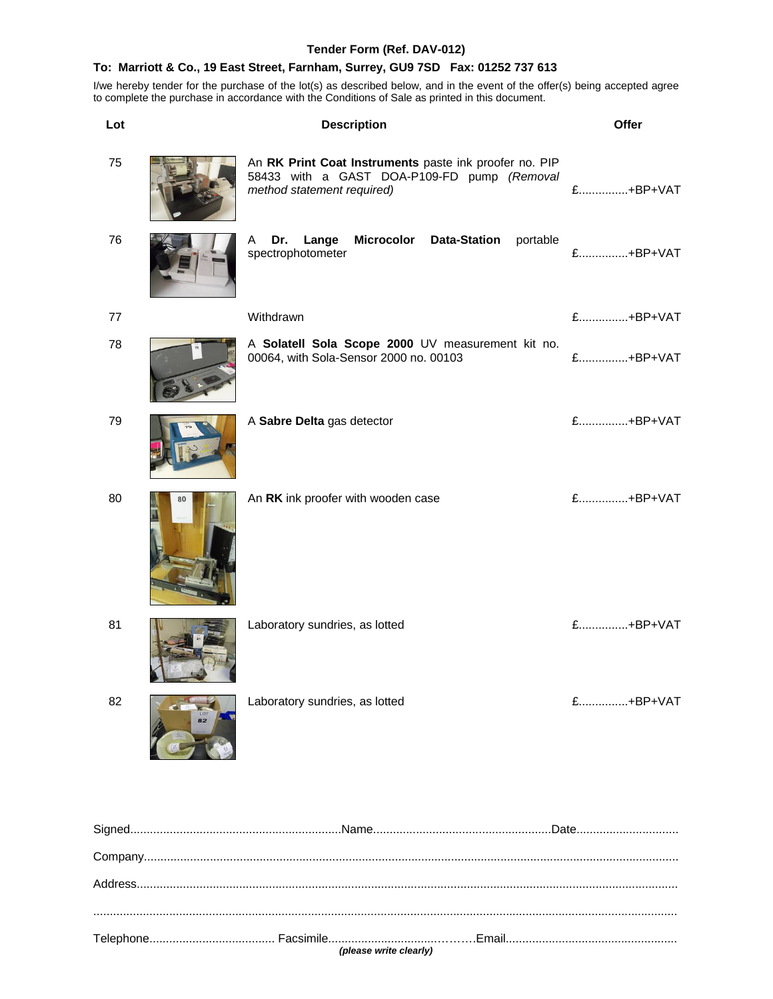#### **Tender Form (Ref. DAV-012)**

#### **To: Marriott & Co., 19 East Street, Farnham, Surrey, GU9 7SD Fax: 01252 737 613**

I/we hereby tender for the purchase of the lot(s) as described below, and in the event of the offer(s) being accepted agree to complete the purchase in accordance with the Conditions of Sale as printed in this document.

| Lot | <b>Description</b>                                                                                                                  | Offer    |
|-----|-------------------------------------------------------------------------------------------------------------------------------------|----------|
| 75  | An RK Print Coat Instruments paste ink proofer no. PIP<br>58433 with a GAST DOA-P109-FD pump (Removal<br>method statement required) | £+BP+VAT |
| 76  | Microcolor Data-Station<br>Dr.<br>Lange<br>portable<br>A<br>spectrophotometer                                                       | £+BP+VAT |
| 77  | Withdrawn                                                                                                                           | £+BP+VAT |
| 78  | A Solatell Sola Scope 2000 UV measurement kit no.<br>00064, with Sola-Sensor 2000 no. 00103                                         | £+BP+VAT |
| 79  | A Sabre Delta gas detector                                                                                                          | £+BP+VAT |
| 80  | An RK ink proofer with wooden case                                                                                                  | £+BP+VAT |
| 81  | Laboratory sundries, as lotted                                                                                                      | £+BP+VAT |
| 82  | Laboratory sundries, as lotted                                                                                                      | £+BP+VAT |
|     |                                                                                                                                     |          |
|     |                                                                                                                                     |          |
|     |                                                                                                                                     |          |

.................................................................................................................................................................................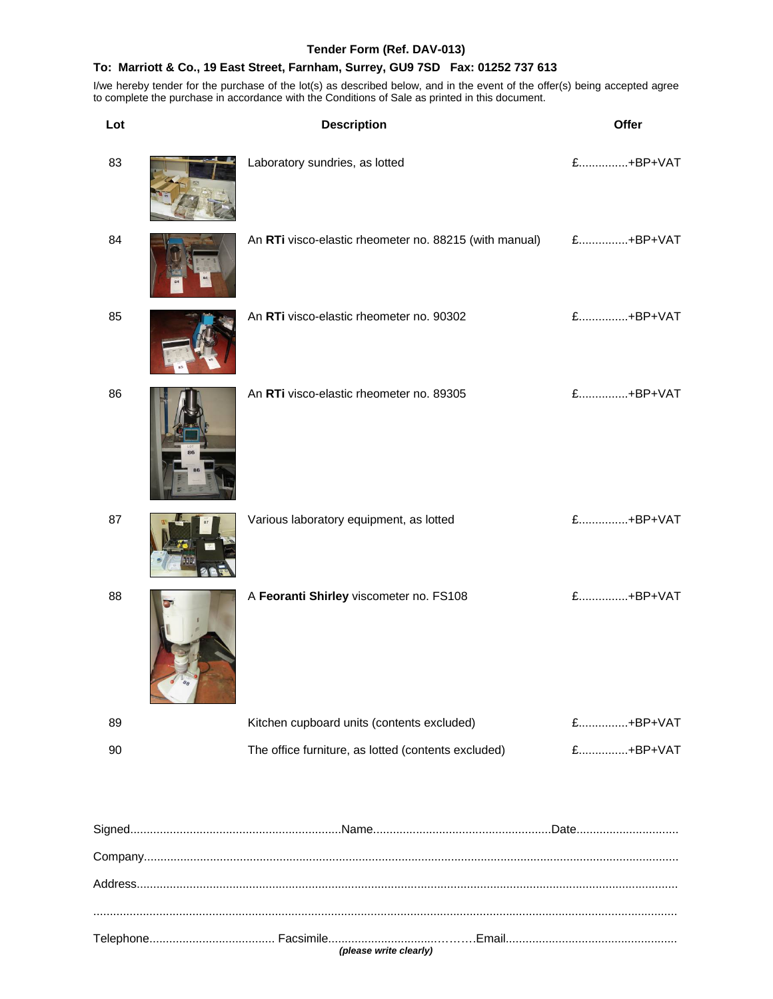## **Tender Form (Ref. DAV-013)**

## **To: Marriott & Co., 19 East Street, Farnham, Surrey, GU9 7SD Fax: 01252 737 613**

| Lot | <b>Description</b>                                     | Offer    |
|-----|--------------------------------------------------------|----------|
| 83  | Laboratory sundries, as lotted                         | £+BP+VAT |
| 84  | An RTi visco-elastic rheometer no. 88215 (with manual) | £+BP+VAT |
| 85  | An RTi visco-elastic rheometer no. 90302               | £+BP+VAT |
| 86  | An RTi visco-elastic rheometer no. 89305               | £+BP+VAT |
| 87  | Various laboratory equipment, as lotted                | £+BP+VAT |
| 88  | A Feoranti Shirley viscometer no. FS108                | £+BP+VAT |
| 89  | Kitchen cupboard units (contents excluded)             | £+BP+VAT |
| 90  | The office furniture, as lotted (contents excluded)    | £+BP+VAT |